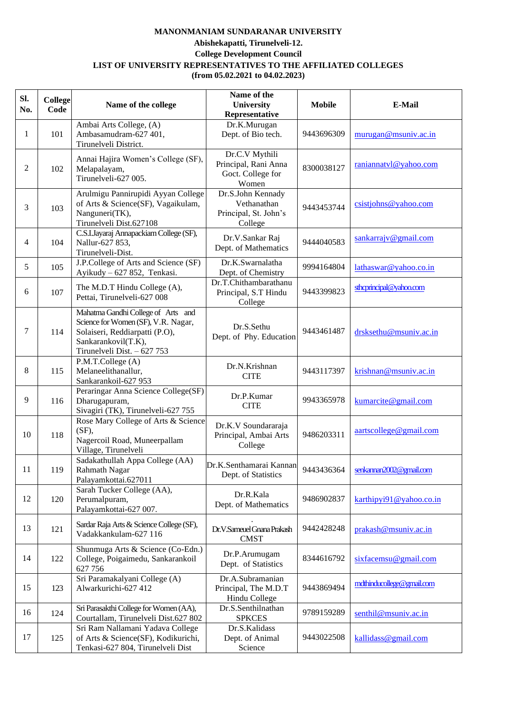## **MANONMANIAM SUNDARANAR UNIVERSITY Abishekapatti, Tirunelveli-12. College Development Council LIST OF UNIVERSITY REPRESENTATIVES TO THE AFFILIATED COLLEGES (from 05.02.2021 to 04.02.2023)**

| Sl.<br>No. | College<br>Code | Name of the college                                                                                                                                               | Name of the<br><b>University</b><br>Representative                   | <b>Mobile</b> | E-Mail                     |
|------------|-----------------|-------------------------------------------------------------------------------------------------------------------------------------------------------------------|----------------------------------------------------------------------|---------------|----------------------------|
| 1          | 101             | Ambai Arts College, (A)<br>Ambasamudram-627 401,<br>Tirunelveli District.                                                                                         | Dr.K.Murugan<br>Dept. of Bio tech.                                   | 9443696309    | murugan@msuniv.ac.in       |
| 2          | 102             | Annai Hajira Women's College (SF),<br>Melapalayam,<br>Tirunelveli-627 005.                                                                                        | Dr.C.V Mythili<br>Principal, Rani Anna<br>Goct. College for<br>Women | 8300038127    | raniannatyl@yahoo.com      |
| 3          | 103             | Arulmigu Pannirupidi Ayyan College<br>of Arts & Science(SF), Vagaikulam,<br>Nanguneri(TK),<br>Tirunelveli Dist.627108                                             | Dr.S.John Kennady<br>Vethanathan<br>Principal, St. John's<br>College | 9443453744    | csistjohns@yahoo.com       |
| 4          | 104             | C.S.I.Jayaraj Annapackiam College (SF),<br>Nallur-627 853,<br>Tirunelveli-Dist.                                                                                   | Dr.V.Sankar Raj<br>Dept. of Mathematics                              | 9444040583    | $sankarraj\vee$ @gmail.com |
| 5          | 105             | J.P.College of Arts and Science (SF)<br>Ayikudy - 627 852, Tenkasi.                                                                                               | Dr.K.Swarnalatha<br>Dept. of Chemistry                               | 9994164804    | lathaswar@yahoo.co.in      |
| 6          | 107             | The M.D.T Hindu College (A),<br>Pettai, Tirunelveli-627 008                                                                                                       | Dr.T.Chithambarathanu<br>Principal, S.T Hindu<br>College             | 9443399823    | stheprincipal@yahoo.com    |
| 7          | 114             | Mahatma Gandhi College of Arts and<br>Science for Women (SF), V.R. Nagar,<br>Solaiseri, Reddiarpatti (P.O),<br>Sankarankovil(T.K),<br>Tirunelveli Dist. - 627 753 | Dr.S.Sethu<br>Dept. of Phy. Education                                | 9443461487    | drsksethu@msuniv.ac.in     |
| 8          | 115             | P.M.T.College (A)<br>Melaneelithanallur,<br>Sankarankoil-627 953                                                                                                  | Dr.N.Krishnan<br><b>CITE</b>                                         | 9443117397    | krishnan@msuniv.ac.in      |
| 9          | 116             | Peraringar Anna Science College(SF)<br>Dharugapuram,<br>Sivagiri (TK), Tirunelveli-627 755                                                                        | Dr.P.Kumar<br><b>CITE</b>                                            | 9943365978    | kumarcite@gmail.com        |
| 10         | 118             | Rose Mary College of Arts & Science<br>(SF),<br>Nagercoil Road, Muneerpallam<br>Village, Tirunelveli                                                              | Dr.K.V Soundararaja<br>Principal, Ambai Arts<br>College              | 9486203311    | aartscollege@gmail.com     |
| 11         | 119             | Sadakathullah Appa College (AA)<br>Rahmath Nagar<br>Palayamkottai.627011                                                                                          | Dr.K.Senthamarai Kannan   9443436364  <br>Dept. of Statistics        |               | senkannan2002@gmail.com    |
| 12         | 120             | Sarah Tucker College (AA),<br>Perumalpuram,<br>Palayamkottai-627 007.                                                                                             | Dr.R.Kala<br>Dept. of Mathematics                                    | 9486902837    | karthipyi91@yahoo.co.in    |
| 13         | 121             | Sardar Raja Arts & Science College (SF),<br>Vadakkankulam-627 116                                                                                                 | Dr.V.Sameuel Gnana Prakash<br><b>CMST</b>                            | 9442428248    | prakash@msuniv.ac.in       |
| 14         | 122             | Shunmuga Arts & Science (Co-Edn.)<br>College, Poigaimedu, Sankarankoil<br>627 756                                                                                 | Dr.P.Arumugam<br>Dept. of Statistics                                 | 8344616792    | six facemsu@gmail.com      |
| 15         | 123             | Sri Paramakalyani College (A)<br>Alwarkurichi-627 412                                                                                                             | Dr.A.Subramanian<br>Principal, The M.D.T<br>Hindu College            | 9443869494    | mdthinducollege@gmail.com  |
| 16         | 124             | Sri Parasakthi College for Women (AA),<br>Courtallam, Tirunelveli Dist.627 802                                                                                    | Dr.S.Senthilnathan<br><b>SPKCES</b>                                  | 9789159289    | senthil@msuniv.ac.in       |
| 17         | 125             | Sri Ram Nallamani Yadava College<br>of Arts & Science(SF), Kodikurichi,<br>Tenkasi-627 804, Tirunelveli Dist                                                      | Dr.S.Kalidass<br>Dept. of Animal<br>Science                          | 9443022508    | kallidass@gmail.com        |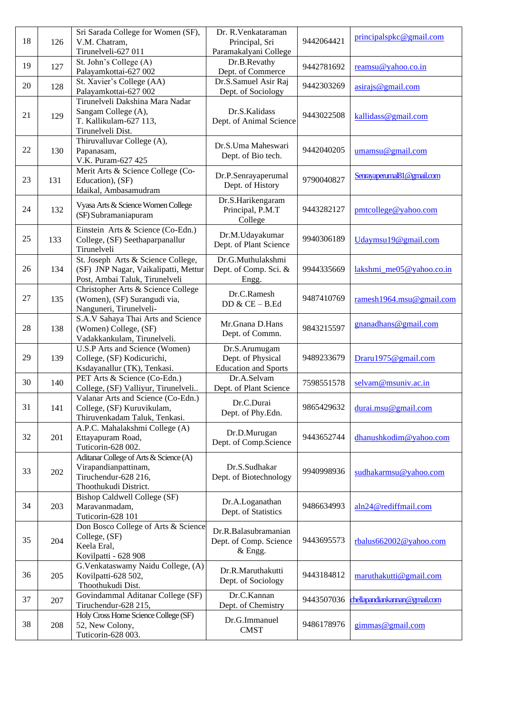| 18 | 126 | Sri Sarada College for Women (SF),<br>V.M. Chatram,                                                             | Dr. R. Venkataraman<br>Principal, Sri                             | 9442064421 | principalspkc@gmail.com       |
|----|-----|-----------------------------------------------------------------------------------------------------------------|-------------------------------------------------------------------|------------|-------------------------------|
|    |     | Tirunelveli-627 011                                                                                             | Paramakalyani College                                             |            |                               |
| 19 | 127 | St. John's College (A)<br>Palayamkottai-627 002                                                                 | Dr.B.Revathy<br>Dept. of Commerce                                 | 9442781692 | reamsu@yahoo.co.in            |
| 20 | 128 | St. Xavier's College (AA)<br>Palayamkottai-627 002                                                              | Dr.S.Samuel Asir Raj<br>Dept. of Sociology                        | 9442303269 | asirajs@gmail.com             |
| 21 | 129 | Tirunelveli Dakshina Mara Nadar<br>Sangam College (A),<br>T. Kallikulam-627 113,<br>Tirunelveli Dist.           | Dr.S.Kalidass<br>Dept. of Animal Science                          | 9443022508 | kallidass@gmail.com           |
| 22 | 130 | Thiruvalluvar College (A),<br>Papanasam,<br>V.K. Puram-627 425                                                  | Dr.S.Uma Maheswari<br>Dept. of Bio tech.                          | 9442040205 | umamsu@gmail.com              |
| 23 | 131 | Merit Arts & Science College (Co-<br>Education), (SF)<br>Idaikal, Ambasamudram                                  | Dr.P.Senrayaperumal<br>Dept. of History                           | 9790040827 | Senrayaperumal81@gmail.com    |
| 24 | 132 | Vyasa Arts & Science Women College<br>(SF) Subramaniapuram                                                      | Dr.S.Harikengaram<br>Principal, P.M.T<br>College                  | 9443282127 | pmtcollege@yahoo.com          |
| 25 | 133 | Einstein Arts & Science (Co-Edn.)<br>College, (SF) Seethaparpanallur<br>Tirunelveli                             | Dr.M.Udayakumar<br>Dept. of Plant Science                         | 9940306189 | Udaymsu19@gmail.com           |
| 26 | 134 | St. Joseph Arts & Science College,<br>(SF) JNP Nagar, Vaikalipatti, Mettur<br>Post, Ambai Taluk, Tirunelveli    | Dr.G.Muthulakshmi<br>Dept. of Comp. Sci. &<br>Engg.               | 9944335669 | lakshmi me05@yahoo.co.in      |
| 27 | 135 | Christopher Arts & Science College<br>(Women), (SF) Surangudi via,<br>Nanguneri, Tirunelveli-                   | Dr.C.Ramesh<br>DD $&$ CE $-$ B.Ed                                 | 9487410769 | ramesh1964.msu@gmail.com      |
| 28 | 138 | S.A.V Sahaya Thai Arts and Science<br>(Women) College, (SF)<br>Vadakkankulam, Tirunelveli.                      | Mr.Gnana D.Hans<br>Dept. of Commn.                                | 9843215597 | gnanadhans@gmail.com          |
| 29 | 139 | U.S.P Arts and Science (Women)<br>College, (SF) Kodicurichi,<br>Ksdayanallur (TK), Tenkasi.                     | Dr.S.Arumugam<br>Dept. of Physical<br><b>Education and Sports</b> | 9489233679 | Draru1975@gmail.com           |
| 30 | 140 | PET Arts & Science (Co-Edn.)<br>College, (SF) Valliyur, Tirunelveli                                             | Dr.A.Selvam<br>Dept. of Plant Science                             | 7598551578 | selvam@msuniv.ac.in           |
| 31 | 141 | Valanar Arts and Science (Co-Edn.)<br>College, (SF) Kuruvikulam,<br>Thiruvenkadam Taluk, Tenkasi.               | Dr.C.Durai<br>Dept. of Phy.Edn.                                   | 9865429632 | durai.msu@gmail.com           |
| 32 | 201 | A.P.C. Mahalakshmi College (A)<br>Ettayapuram Road,<br>Tuticorin-628 002.                                       | Dr.D.Murugan<br>Dept. of Comp.Science                             | 9443652744 | dhanushkodim@yahoo.com        |
| 33 | 202 | Aditanar College of Arts & Science (A)<br>Virapandianpattinam,<br>Tiruchendur-628 216,<br>Thoothukudi District. | Dr.S.Sudhakar<br>Dept. of Biotechnology                           | 9940998936 | sudhakarmsu@yahoo.com         |
| 34 | 203 | Bishop Caldwell College (SF)<br>Maravanmadam,<br>Tuticorin-628 101                                              | Dr.A.Loganathan<br>Dept. of Statistics                            | 9486634993 | aln24@rediffmail.com          |
| 35 | 204 | Don Bosco College of Arts & Science<br>College, (SF)<br>Keela Eral,<br>Kovilpatti - 628 908                     | Dr.R.Balasubramanian<br>Dept. of Comp. Science<br>& Engg.         | 9443695573 | rbalus662002@yahoo.com        |
| 36 | 205 | G. Venkataswamy Naidu College, (A)<br>Kovilpatti-628 502,<br>Thoothukudi Dist.                                  | Dr.R.Maruthakutti<br>Dept. of Sociology                           | 9443184812 | maruthakutti@gmail.com        |
| 37 | 207 | Govindammal Aditanar College (SF)<br>Tiruchendur-628 215,                                                       | Dr.C.Kannan<br>Dept. of Chemistry                                 | 9443507036 | chellapandiankannan@gmail.com |
| 38 | 208 | Holy Cross Home Science College (SF)<br>52, New Colony,<br>Tuticorin-628 003.                                   | Dr.G.Immanuel<br><b>CMST</b>                                      | 9486178976 | gimmas@gmail.com              |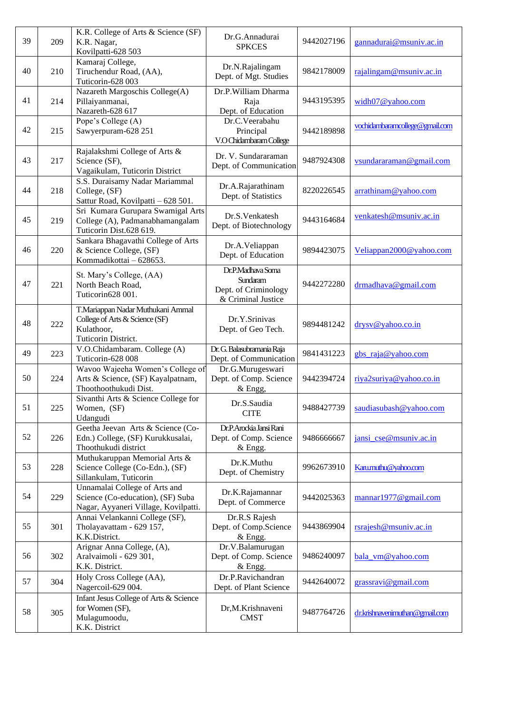| 39 | 209 | K.R. College of Arts & Science (SF)<br>K.R. Nagar,<br>Kovilpatti-628 503                                   | Dr.G.Annadurai<br><b>SPKCES</b>                                             | 9442027196 | gannadurai@msuniv.ac.in        |
|----|-----|------------------------------------------------------------------------------------------------------------|-----------------------------------------------------------------------------|------------|--------------------------------|
| 40 | 210 | Kamaraj College,<br>Tiruchendur Road, (AA),<br>Tuticorin-628 003                                           | Dr.N.Rajalingam<br>Dept. of Mgt. Studies                                    | 9842178009 | rajalingam@msuniv.ac.in        |
| 41 | 214 | Nazareth Margoschis College(A)<br>Pillaiyanmanai,<br>Nazareth-628 617                                      | Dr.P.William Dharma<br>Raja<br>Dept. of Education                           | 9443195395 | widh07@yahoo.com               |
| 42 | 215 | Pope's College (A)<br>Sawyerpuram-628 251                                                                  | Dr.C.Veerabahu<br>Principal<br>V.O Chidambaram College                      | 9442189898 | vochidambaramcollege@gmail.com |
| 43 | 217 | Rajalakshmi College of Arts &<br>Science (SF),<br>Vagaikulam, Tuticorin District                           | Dr. V. Sundararaman<br>Dept. of Communication                               | 9487924308 | vsundararaman@gmail.com        |
| 44 | 218 | S.S. Duraisamy Nadar Mariammal<br>College, (SF)<br>Sattur Road, Kovilpatti - 628 501.                      | Dr.A.Rajarathinam<br>Dept. of Statistics                                    | 8220226545 | arrathinam@yahoo.com           |
| 45 | 219 | Sri Kumara Gurupara Swamigal Arts<br>College (A), Padmanabhamangalam<br>Tuticorin Dist.628 619.            | Dr.S.Venkatesh<br>Dept. of Biotechnology                                    | 9443164684 | venkatesh@msuniv.ac.in         |
| 46 | 220 | Sankara Bhagavathi College of Arts<br>& Science College, (SF)<br>Kommadikottai - 628653.                   | Dr.A.Veliappan<br>Dept. of Education                                        | 9894423075 | Veliappan2000@yahoo.com        |
| 47 | 221 | St. Mary's College, (AA)<br>North Beach Road,<br>Tuticorin628 001.                                         | Dr.P.Madhava Soma<br>Sundaram<br>Dept. of Criminology<br>& Criminal Justice | 9442272280 | drmadhava@gmail.com            |
| 48 | 222 | T.Mariappan Nadar Muthukani Ammal<br>College of Arts & Science (SF)<br>Kulathoor,<br>Tuticorin District.   | Dr.Y.Srinivas<br>Dept. of Geo Tech.                                         | 9894481242 | drysv@yahoo.co.in              |
| 49 | 223 | V.O.Chidambaram. College (A)<br>Tuticorin-628 008                                                          | Dr. G. Balasubramania Raja<br>Dept. of Communication                        | 9841431223 | gbs_raja@yahoo.com             |
| 50 | 224 | Wavoo Wajeeha Women's College of<br>Arts & Science, (SF) Kayalpatnam,<br>Thoothoothukudi Dist.             | Dr.G.Murugeswari<br>Dept. of Comp. Science<br>& Engg,                       | 9442394724 | riya2suriya@yahoo.co.in        |
| 51 | 225 | Sivanthi Arts & Science College for<br>Women, (SF)<br>Udangudi                                             | Dr.S.Saudia<br><b>CITE</b>                                                  | 9488427739 | saudiasubash@yahoo.com         |
| 52 | 226 | Geetha Jeevan Arts & Science (Co-<br>Edn.) College, (SF) Kurukkusalai,<br>Thoothukudi district             | Dr.P.Arockia Jansi Rani<br>Dept. of Comp. Science<br>& Engg.                | 9486666667 | jansi_cse@msuniv.ac.in         |
| 53 | 228 | Muthukaruppan Memorial Arts &<br>Science College (Co-Edn.), (SF)<br>Sillankulam, Tuticorin                 | Dr.K.Muthu<br>Dept. of Chemistry                                            | 9962673910 | Karu.muthu@yahoo.com           |
| 54 | 229 | Unnamalai College of Arts and<br>Science (Co-education), (SF) Suba<br>Nagar, Ayyaneri Village, Kovilpatti. | Dr.K.Rajamannar<br>Dept. of Commerce                                        | 9442025363 | mannar1977@gmail.com           |
| 55 | 301 | Annai Velankanni College (SF),<br>Tholayavattam - 629 157,<br>K.K.District.                                | Dr.R.S Rajesh<br>Dept. of Comp.Science<br>& Engg.                           | 9443869904 | rsrajesh@msuniv.ac.in          |
| 56 | 302 | Arignar Anna College, (A),<br>Aralvaimoli - 629 301,<br>K.K. District.                                     | Dr.V.Balamurugan<br>Dept. of Comp. Science<br>& Engg.                       | 9486240097 | bala_vm@yahoo.com              |
| 57 | 304 | Holy Cross College (AA),<br>Nagercoil-629 004.                                                             | Dr.P.Ravichandran<br>Dept. of Plant Science                                 | 9442640072 | grassravi@gmail.com            |
| 58 | 305 | Infant Jesus College of Arts & Science<br>for Women (SF),<br>Mulagumoodu,<br>K.K. District                 | Dr,M.Krishnaveni<br><b>CMST</b>                                             | 9487764726 | dr.krishnavenimuthan@gmail.com |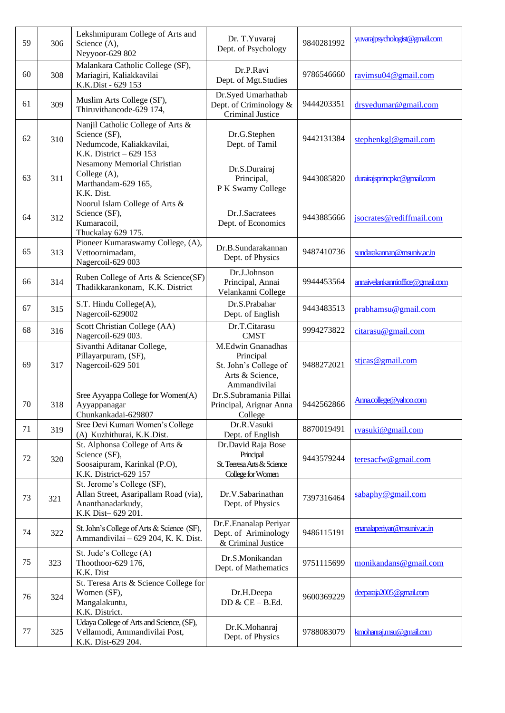| 59 | 306 | Lekshmipuram College of Arts and<br>Science (A),<br>Neyyoor-629 802                                           | Dr. T. Yuvaraj<br>Dept. of Psychology                                                      | 9840281992 | yuvarajpsychologist@gmail.com   |
|----|-----|---------------------------------------------------------------------------------------------------------------|--------------------------------------------------------------------------------------------|------------|---------------------------------|
| 60 | 308 | Malankara Catholic College (SF),<br>Mariagiri, Kaliakkavilai<br>K.K.Dist - 629 153                            | Dr.P.Ravi<br>Dept. of Mgt.Studies                                                          | 9786546660 | ravimsu04@gmail.com             |
| 61 | 309 | Muslim Arts College (SF),<br>Thiruvithancode-629 174,                                                         | Dr.Syed Umarhathab<br>Dept. of Criminology &<br>Criminal Justice                           | 9444203351 | drsyedumar@gmail.com            |
| 62 | 310 | Nanjil Catholic College of Arts &<br>Science (SF),<br>Nedumcode, Kaliakkavilai,<br>K.K. District - 629 153    | Dr.G.Stephen<br>Dept. of Tamil                                                             | 9442131384 | stephenkgl@gmail.com            |
| 63 | 311 | <b>Nesamony Memorial Christian</b><br>College (A),<br>Marthandam-629 165,<br>K.K. Dist.                       | Dr.S.Durairaj<br>Principal,<br>P K Swamy College                                           | 9443085820 | durairajsprincpkc@gmail.com     |
| 64 | 312 | Noorul Islam College of Arts &<br>Science (SF),<br>Kumaracoil,<br>Thuckalay 629 175.                          | Dr.J.Sacratees<br>Dept. of Economics                                                       | 9443885666 | jsocrates@rediffmail.com        |
| 65 | 313 | Pioneer Kumaraswamy College, (A),<br>Vettoornimadam,<br>Nagercoil-629 003                                     | Dr.B.Sundarakannan<br>Dept. of Physics                                                     | 9487410736 | sundarakannan@msuniv.ac.in      |
| 66 | 314 | Ruben College of Arts & Science(SF)<br>Thadikkarankonam, K.K. District                                        | Dr.J.Johnson<br>Principal, Annai<br>Velankanni College                                     | 9944453564 | annaivelankannioffice@gmail.com |
| 67 | 315 | S.T. Hindu College(A),<br>Nagercoil-629002                                                                    | Dr.S.Prabahar<br>Dept. of English                                                          | 9443483513 | prabhamsu@gmail.com             |
| 68 | 316 | Scott Christian College (AA)<br>Nagercoil-629 003.                                                            | Dr.T.Citarasu<br><b>CMST</b>                                                               | 9994273822 | citarasu@gmail.com              |
| 69 | 317 | Sivanthi Aditanar College,<br>Pillayarpuram, (SF),<br>Nagercoil-629 501                                       | M.Edwin Gnanadhas<br>Principal<br>St. John's College of<br>Arts & Science,<br>Ammandivilai | 9488272021 | stjcas@gmail.com                |
| 70 | 318 | Sree Ayyappa College for Women(A)<br>Ayyappanagar<br>Chunkankadai-629807                                      | Dr.S.Subramania Pillai<br>Principal, Arignar Anna<br>College                               | 9442562866 | Anna.college@yahoo.com          |
| 71 | 319 | Sree Devi Kumari Women's College<br>(A) Kuzhithurai, K.K.Dist.                                                | Dr.R.Vasuki<br>Dept. of English                                                            | 8870019491 | rvasuki@gmail.com               |
| 72 | 320 | St. Alphonsa College of Arts &<br>Science (SF),<br>Soosaipuram, Karinkal (P.O),<br>K.K. District-629 157      | Dr.David Raja Bose<br>Principal<br>St. Teeresa Arts & Science<br>College for Women         | 9443579244 | teresacfw@gmail.com             |
| 73 | 321 | St. Jerome's College (SF),<br>Allan Street, Asaripallam Road (via),<br>Ananthanadarkudy,<br>K.K Dist-629 201. | Dr.V.Sabarinathan<br>Dept. of Physics                                                      | 7397316464 | sabaphy@gmail.com               |
| 74 | 322 | St. John's College of Arts & Science (SF),<br>Ammandivilai - 629 204, K. K. Dist.                             | Dr.E.Enanalap Periyar<br>Dept. of Ariminology<br>& Criminal Justice                        | 9486115191 | enanalaperiyar@msuniv.ac.in     |
| 75 | 323 | St. Jude's College (A)<br>Thoothoor-629 176,<br>K.K. Dist                                                     | Dr.S.Monikandan<br>Dept. of Mathematics                                                    | 9751115699 | monikandans@gmail.com           |
| 76 | 324 | St. Teresa Arts & Science College for<br>Women (SF),<br>Mangalakuntu,<br>K.K. District.                       | Dr.H.Deepa<br>$DD & CE - B.Ed.$                                                            | 9600369229 | deeparaja2005@gmail.com         |
| 77 | 325 | Udaya College of Arts and Science, (SF),<br>Vellamodi, Ammandivilai Post,<br>K.K. Dist-629 204.               | Dr.K.Mohanraj<br>Dept. of Physics                                                          | 9788083079 | kmohanraj.msu@gmail.com         |